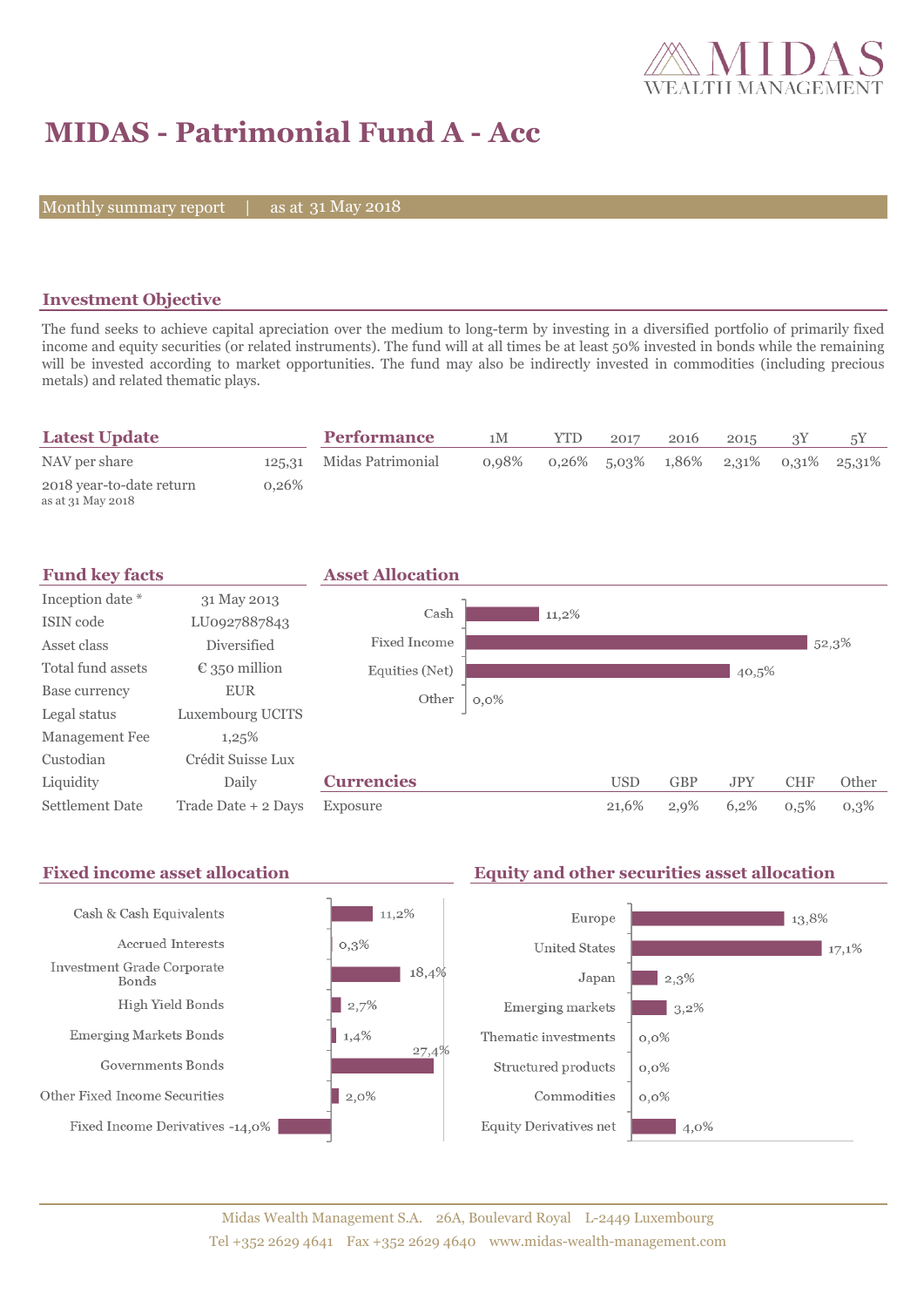

# **MIDAS - Patrimonial Fund A - Acc**

Monthly summary report | as at 31 May 2018

### **Investment Objective**

The fund seeks to achieve capital apreciation over the medium to long-term by investing in a diversified portfolio of primarily fixed income and equity securities (or related instruments). The fund will at all times be at least 50% invested in bonds while the remaining will be invested according to market opportunities. The fund may also be indirectly invested in commodities (including precious metals) and related thematic plays.

| <b>Latest Update</b>                          |          | <b>Performance</b>       | 1M    | <b>YTD</b> | 2017 | 2016 | 2015 |                                         |
|-----------------------------------------------|----------|--------------------------|-------|------------|------|------|------|-----------------------------------------|
| NAV per share                                 |          | 125.31 Midas Patrimonial | 0.98% |            |      |      |      | $0.26\%$ 5.03% 1.86% 2.31% 0.31% 25.31% |
| 2018 year-to-date return<br>as at 31 May 2018 | $0.26\%$ |                          |       |            |      |      |      |                                         |



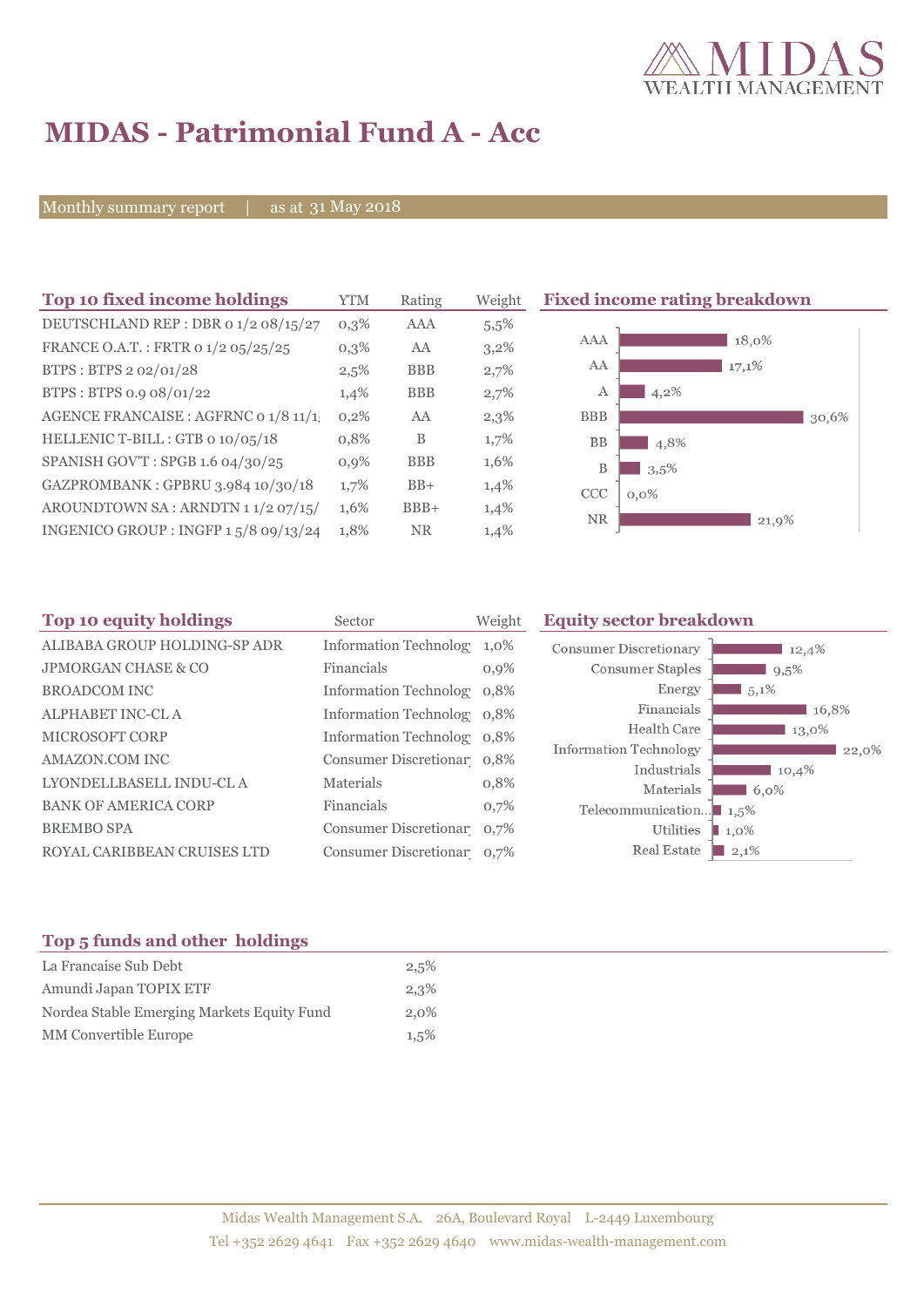

# **MIDAS - Patrimonial Fund A - Acc**

Monthly summary report | as at 31 May 2018

| Top 10 fixed income holdings         | YTM     | Rating     | Weight |
|--------------------------------------|---------|------------|--------|
| DEUTSCHLAND REP : DBR 0 1/2 08/15/27 | $0.3\%$ | AAA        | 5,5%   |
| FRANCE O.A.T.: FRTR 0 1/2 05/25/25   | $0.3\%$ | AA         | 3,2%   |
| BTPS: BTPS 2 02/01/28                | 2,5%    | <b>BBB</b> | 2,7%   |
| BTPS: BTPS 0.9 08/01/22              | 1,4%    | <b>BBB</b> | 2,7%   |
| AGENCE FRANCAISE : AGFRNC 0 1/8 11/1 | 0,2%    | AA         | 2,3%   |
| HELLENIC T-BILL: GTB 0 10/05/18      | 0.8%    | B          | 1,7%   |
| SPANISH GOV'T: SPGB 1.6 04/30/25     | 0,9%    | <b>BBB</b> | 1,6%   |
| GAZPROMBANK: GPBRU 3.984 10/30/18    | 1,7%    | $BB+$      | 1,4%   |
| AROUNDTOWN SA: ARNDTN 11/2 07/15/    | 1,6%    | $BBB+$     | 1,4%   |
| INGENICO GROUP: INGFP 15/8 09/13/24  | 1,8%    | <b>NR</b>  | 1,4%   |
|                                      |         |            |        |

**Fixed income rating breakdown** 



| Sector     | <b>Equity sector breakdown</b><br>Weight |                                                                                                                                                                                                                  |                                                                                        |
|------------|------------------------------------------|------------------------------------------------------------------------------------------------------------------------------------------------------------------------------------------------------------------|----------------------------------------------------------------------------------------|
|            | 1,0%                                     | <b>Consumer Discretionary</b>                                                                                                                                                                                    | 12,4%                                                                                  |
| Financials | 0,9%                                     | Consumer Staples                                                                                                                                                                                                 | 9,5%                                                                                   |
|            |                                          | Energy                                                                                                                                                                                                           | $5,1\%$                                                                                |
|            |                                          | Financials                                                                                                                                                                                                       | 16,8%                                                                                  |
|            |                                          |                                                                                                                                                                                                                  | 13,0%                                                                                  |
|            |                                          |                                                                                                                                                                                                                  | 22,0%                                                                                  |
| Materials  | 0,8%                                     |                                                                                                                                                                                                                  | 10,4%<br>$6,0\%$                                                                       |
| Financials | 0,7%                                     |                                                                                                                                                                                                                  | 1.5%                                                                                   |
|            |                                          | Utilities                                                                                                                                                                                                        | $1.0\%$                                                                                |
|            |                                          | Real Estate                                                                                                                                                                                                      | 2,1%                                                                                   |
|            |                                          | <b>Information Technolog</b><br>Information Technolog 0,8%<br>Information Technolog 0,8%<br>Information Technolog 0,8%<br>Consumer Discretionar 0,8%<br>Consumer Discretionar 0,7%<br>Consumer Discretionar 0,7% | Health Care<br>Information Technology<br>Industrials<br>Materials<br>Telecommunication |

#### **Top 5 funds and other holdings**

| La Francaise Sub Debt                      | 2,5%    |
|--------------------------------------------|---------|
| Amundi Japan TOPIX ETF                     | 2,3%    |
| Nordea Stable Emerging Markets Equity Fund | $2.0\%$ |
| MM Convertible Europe                      | $1,5\%$ |